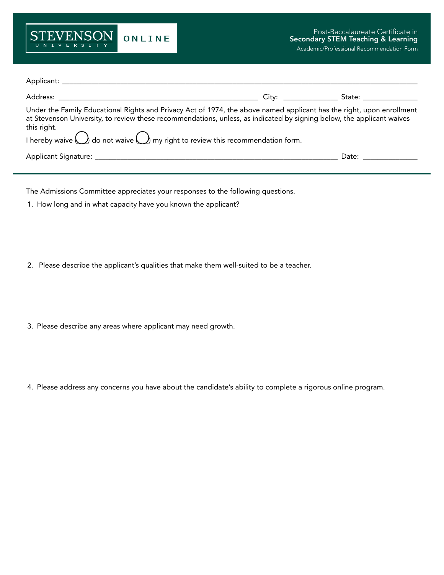

| Under the Family Educational Rights and Privacy Act of 1974, the above named applicant has the right, upon enrollment<br>at Stevenson University, to review these recommendations, unless, as indicated by signing below, the applicant waives<br>this right.<br>I hereby waive $\bigcirc$ do not waive $\bigcirc$ my right to review this recommendation form. |                       |
|-----------------------------------------------------------------------------------------------------------------------------------------------------------------------------------------------------------------------------------------------------------------------------------------------------------------------------------------------------------------|-----------------------|
|                                                                                                                                                                                                                                                                                                                                                                 | Date: _______________ |

The Admissions Committee appreciates your responses to the following questions.

1. How long and in what capacity have you known the applicant?

2. Please describe the applicant's qualities that make them well-suited to be a teacher.

- 3. Please describe any areas where applicant may need growth.
- 4. Please address any concerns you have about the candidate's ability to complete a rigorous online program.